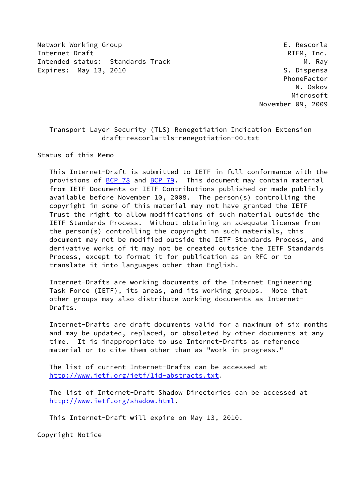Network Working Group **E. Rescorla** Internet-Draft RTFM, Inc. Intended status: Standards Track M. Ray Expires: May 13, 2010 **S. Dispensa** 

 PhoneFactor N. Oskov Microsoft November 09, 2009

# Transport Layer Security (TLS) Renegotiation Indication Extension draft-rescorla-tls-renegotiation-00.txt

Status of this Memo

 This Internet-Draft is submitted to IETF in full conformance with the provisions of [BCP 78](https://datatracker.ietf.org/doc/pdf/bcp78) and [BCP 79](https://datatracker.ietf.org/doc/pdf/bcp79). This document may contain material from IETF Documents or IETF Contributions published or made publicly available before November 10, 2008. The person(s) controlling the copyright in some of this material may not have granted the IETF Trust the right to allow modifications of such material outside the IETF Standards Process. Without obtaining an adequate license from the person(s) controlling the copyright in such materials, this document may not be modified outside the IETF Standards Process, and derivative works of it may not be created outside the IETF Standards Process, except to format it for publication as an RFC or to translate it into languages other than English.

 Internet-Drafts are working documents of the Internet Engineering Task Force (IETF), its areas, and its working groups. Note that other groups may also distribute working documents as Internet- Drafts.

 Internet-Drafts are draft documents valid for a maximum of six months and may be updated, replaced, or obsoleted by other documents at any time. It is inappropriate to use Internet-Drafts as reference material or to cite them other than as "work in progress."

 The list of current Internet-Drafts can be accessed at <http://www.ietf.org/ietf/1id-abstracts.txt>.

 The list of Internet-Draft Shadow Directories can be accessed at <http://www.ietf.org/shadow.html>.

This Internet-Draft will expire on May 13, 2010.

Copyright Notice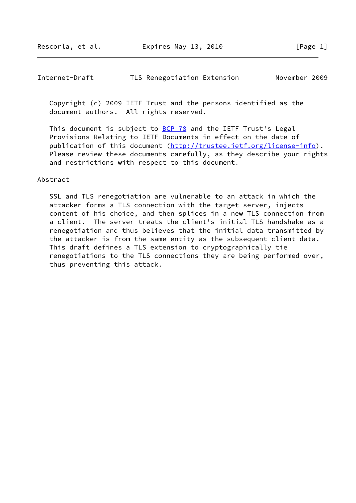#### Internet-Draft TLS Renegotiation Extension November 2009

 Copyright (c) 2009 IETF Trust and the persons identified as the document authors. All rights reserved.

This document is subject to **[BCP 78](https://datatracker.ietf.org/doc/pdf/bcp78)** and the IETF Trust's Legal Provisions Relating to IETF Documents in effect on the date of publication of this document [\(http://trustee.ietf.org/license-info](http://trustee.ietf.org/license-info)). Please review these documents carefully, as they describe your rights and restrictions with respect to this document.

#### Abstract

 SSL and TLS renegotiation are vulnerable to an attack in which the attacker forms a TLS connection with the target server, injects content of his choice, and then splices in a new TLS connection from a client. The server treats the client's initial TLS handshake as a renegotiation and thus believes that the initial data transmitted by the attacker is from the same entity as the subsequent client data. This draft defines a TLS extension to cryptographically tie renegotiations to the TLS connections they are being performed over, thus preventing this attack.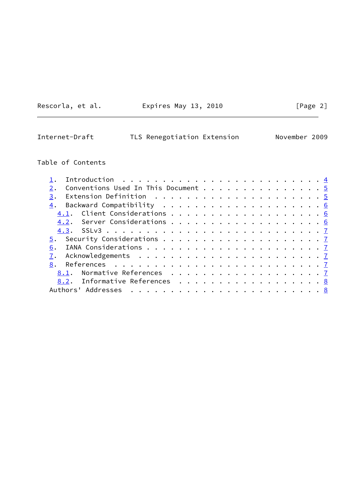Rescorla, et al. **Expires May 13, 2010**[Page 2]

# Internet-Draft TLS Renegotiation Extension November 2009

# Table of Contents

| Conventions Used In This Document 5                                                       |  |
|-------------------------------------------------------------------------------------------|--|
| Extension Definition $\ldots \ldots \ldots \ldots \ldots \ldots \ldots \frac{5}{2}$<br>3. |  |
|                                                                                           |  |
|                                                                                           |  |
|                                                                                           |  |
|                                                                                           |  |
|                                                                                           |  |
| 6.                                                                                        |  |
|                                                                                           |  |
|                                                                                           |  |
|                                                                                           |  |
| 8.2. Informative References 8                                                             |  |
|                                                                                           |  |
|                                                                                           |  |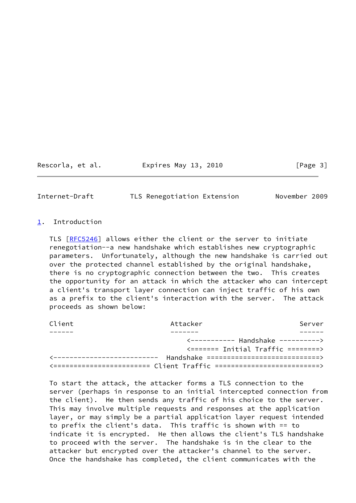Rescorla, et al. 
Expires May 13, 2010  $[Page 3]$ 

<span id="page-3-1"></span>Internet-Draft TLS Renegotiation Extension November 2009

#### <span id="page-3-0"></span>[1](#page-3-0). Introduction

 TLS [\[RFC5246](https://datatracker.ietf.org/doc/pdf/rfc5246)] allows either the client or the server to initiate renegotiation--a new handshake which establishes new cryptographic parameters. Unfortunately, although the new handshake is carried out over the protected channel established by the original handshake, there is no cryptographic connection between the two. This creates the opportunity for an attack in which the attacker who can intercept a client's transport layer connection can inject traffic of his own as a prefix to the client's interaction with the server. The attack proceeds as shown below:

| Client | Attacker                                                             | Server                                                                              |
|--------|----------------------------------------------------------------------|-------------------------------------------------------------------------------------|
|        |                                                                      |                                                                                     |
|        |                                                                      | $\left\langle \text{---} \text{---} \text{---} \right\rangle$ Handshake ----------> |
|        |                                                                      | $\zeta$ ======= Initial Traffic ========>                                           |
|        | <-------------------------- Handshake ============================== |                                                                                     |
|        |                                                                      |                                                                                     |

 To start the attack, the attacker forms a TLS connection to the server (perhaps in response to an initial intercepted connection from the client). He then sends any traffic of his choice to the server. This may involve multiple requests and responses at the application layer, or may simply be a partial application layer request intended to prefix the client's data. This traffic is shown with == to indicate it is encrypted. He then allows the client's TLS handshake to proceed with the server. The handshake is in the clear to the attacker but encrypted over the attacker's channel to the server. Once the handshake has completed, the client communicates with the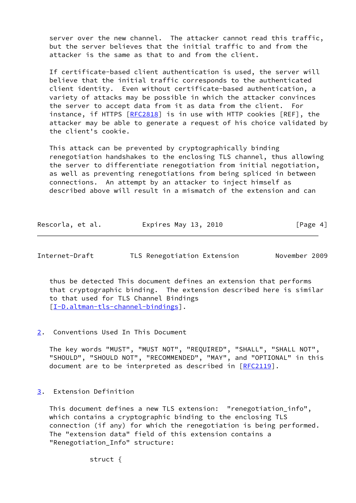server over the new channel. The attacker cannot read this traffic, but the server believes that the initial traffic to and from the attacker is the same as that to and from the client.

 If certificate-based client authentication is used, the server will believe that the initial traffic corresponds to the authenticated client identity. Even without certificate-based authentication, a variety of attacks may be possible in which the attacker convinces the server to accept data from it as data from the client. For instance, if HTTPS [[RFC2818\]](https://datatracker.ietf.org/doc/pdf/rfc2818) is in use with HTTP cookies [REF], the attacker may be able to generate a request of his choice validated by the client's cookie.

 This attack can be prevented by cryptographically binding renegotiation handshakes to the enclosing TLS channel, thus allowing the server to differentiate renegotiation from initial negotiation, as well as preventing renegotiations from being spliced in between connections. An attempt by an attacker to inject himself as described above will result in a mismatch of the extension and can

| Rescorla, et al. | Expires May 13, 2010 | [Page 4] |
|------------------|----------------------|----------|
|------------------|----------------------|----------|

<span id="page-4-1"></span>

| Internet-Draft | TLS Renegotiation Extension | November 2009 |  |
|----------------|-----------------------------|---------------|--|
|                |                             |               |  |

 thus be detected This document defines an extension that performs that cryptographic binding. The extension described here is similar to that used for TLS Channel Bindings [\[I-D.altman-tls-channel-bindings](#page-8-0)].

<span id="page-4-0"></span>[2](#page-4-0). Conventions Used In This Document

 The key words "MUST", "MUST NOT", "REQUIRED", "SHALL", "SHALL NOT", "SHOULD", "SHOULD NOT", "RECOMMENDED", "MAY", and "OPTIONAL" in this document are to be interpreted as described in [\[RFC2119](https://datatracker.ietf.org/doc/pdf/rfc2119)].

<span id="page-4-2"></span>[3](#page-4-2). Extension Definition

 This document defines a new TLS extension: "renegotiation\_info", which contains a cryptographic binding to the enclosing TLS connection (if any) for which the renegotiation is being performed. The "extension data" field of this extension contains a "Renegotiation\_Info" structure:

struct {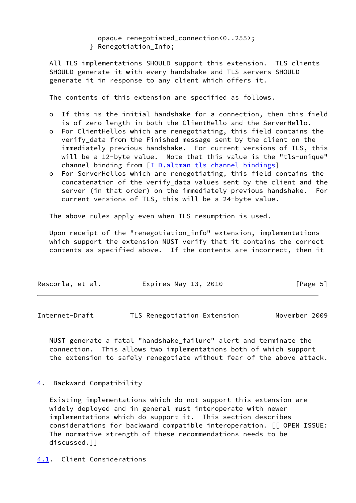opaque renegotiated\_connection<0..255>;

} Renegotiation\_Info;

 All TLS implementations SHOULD support this extension. TLS clients SHOULD generate it with every handshake and TLS servers SHOULD generate it in response to any client which offers it.

The contents of this extension are specified as follows.

- o If this is the initial handshake for a connection, then this field is of zero length in both the ClientHello and the ServerHello.
- o For ClientHellos which are renegotiating, this field contains the verify\_data from the Finished message sent by the client on the immediately previous handshake. For current versions of TLS, this will be a 12-byte value. Note that this value is the "tls-unique" channel binding from [\[I-D.altman-tls-channel-bindings](#page-8-0)]
- o For ServerHellos which are renegotiating, this field contains the concatenation of the verify\_data values sent by the client and the server (in that order) on the immediately previous handshake. For current versions of TLS, this will be a 24-byte value.

The above rules apply even when TLS resumption is used.

 Upon receipt of the "renegotiation\_info" extension, implementations which support the extension MUST verify that it contains the correct contents as specified above. If the contents are incorrect, then it

| Rescorla, et al. | Expires May 13, 2010 |  | [Page 5] |  |
|------------------|----------------------|--|----------|--|
|                  |                      |  |          |  |

<span id="page-5-1"></span>Internet-Draft TLS Renegotiation Extension November 2009

 MUST generate a fatal "handshake\_failure" alert and terminate the connection. This allows two implementations both of which support the extension to safely renegotiate without fear of the above attack.

<span id="page-5-0"></span>[4](#page-5-0). Backward Compatibility

 Existing implementations which do not support this extension are widely deployed and in general must interoperate with newer implementations which do support it. This section describes considerations for backward compatible interoperation. [[ OPEN ISSUE: The normative strength of these recommendations needs to be discussed.]]

<span id="page-5-2"></span>[4.1](#page-5-2). Client Considerations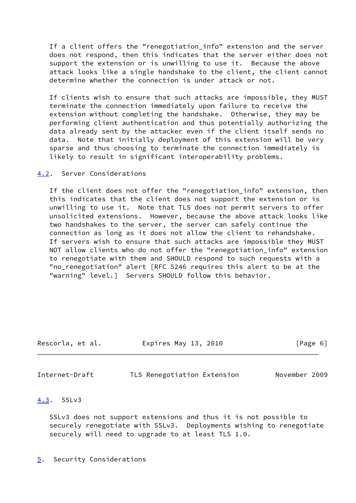If a client offers the "renegotiation\_info" extension and the server does not respond, then this indicates that the server either does not support the extension or is unwilling to use it. Because the above attack looks like a single handshake to the client, the client cannot determine whether the connection is under attack or not.

 If clients wish to ensure that such attacks are impossible, they MUST terminate the connection immediately upon failure to receive the extension without completing the handshake. Otherwise, they may be performing client authentication and thus potentially authorizing the data already sent by the attacker even if the client itself sends no data. Note that initially deployment of this extension will be very sparse and thus choosing to terminate the connection immediately is likely to result in significant interoperability problems.

#### <span id="page-6-0"></span>[4.2](#page-6-0). Server Considerations

 If the client does not offer the "renegotiation\_info" extension, then this indicates that the client does not support the extension or is unwilling to use it. Note that TLS does not permit servers to offer unsolicited extensions. However, because the above attack looks like two handshakes to the server, the server can safely continue the connection as long as it does not allow the client to rehandshake. If servers wish to ensure that such attacks are impossible they MUST NOT allow clients who do not offer the "renegotiation\_info" extension to renegotiate with them and SHOULD respond to such requests with a "no\_renegotiation" alert [RFC 5246 requires this alert to be at the "warning" level.] Servers SHOULD follow this behavior.

| Rescorla, et al. | Expires May 13, 2010 | [Page 6] |
|------------------|----------------------|----------|
|                  |                      |          |

<span id="page-6-2"></span>Internet-Draft TLS Renegotiation Extension November 2009

#### <span id="page-6-1"></span>[4.3](#page-6-1). SSLv3

 SSLv3 does not support extensions and thus it is not possible to securely renegotiate with SSLv3. Deployments wishing to renegotiate securely will need to upgrade to at least TLS 1.0.

#### <span id="page-6-3"></span>[5](#page-6-3). Security Considerations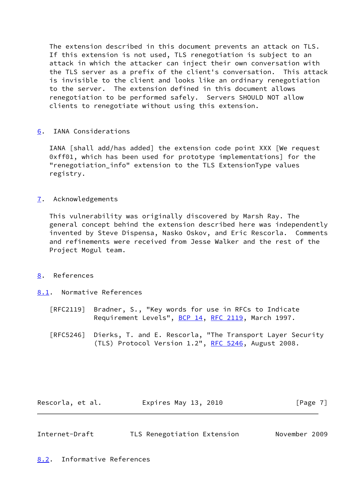The extension described in this document prevents an attack on TLS. If this extension is not used, TLS renegotiation is subject to an attack in which the attacker can inject their own conversation with the TLS server as a prefix of the client's conversation. This attack is invisible to the client and looks like an ordinary renegotiation to the server. The extension defined in this document allows renegotiation to be performed safely. Servers SHOULD NOT allow clients to renegotiate without using this extension.

## <span id="page-7-0"></span>[6](#page-7-0). IANA Considerations

 IANA [shall add/has added] the extension code point XXX [We request 0xff01, which has been used for prototype implementations] for the "renegotiation info" extension to the TLS ExtensionType values registry.

### <span id="page-7-1"></span>[7](#page-7-1). Acknowledgements

 This vulnerability was originally discovered by Marsh Ray. The general concept behind the extension described here was independently invented by Steve Dispensa, Nasko Oskov, and Eric Rescorla. Comments and refinements were received from Jesse Walker and the rest of the Project Mogul team.

#### <span id="page-7-2"></span>[8](#page-7-2). References

- <span id="page-7-3"></span>[8.1](#page-7-3). Normative References
	- [RFC2119] Bradner, S., "Key words for use in RFCs to Indicate Requirement Levels", [BCP 14](https://datatracker.ietf.org/doc/pdf/bcp14), [RFC 2119](https://datatracker.ietf.org/doc/pdf/rfc2119), March 1997.

 [RFC5246] Dierks, T. and E. Rescorla, "The Transport Layer Security (TLS) Protocol Version 1.2", [RFC 5246](https://datatracker.ietf.org/doc/pdf/rfc5246), August 2008.

Rescorla, et al. 
Expires May 13, 2010  $[Page 7]$ 

<span id="page-7-5"></span><span id="page-7-4"></span>

| Internet-Draft | TLS Renegotiation Extension | November 2009 |  |
|----------------|-----------------------------|---------------|--|